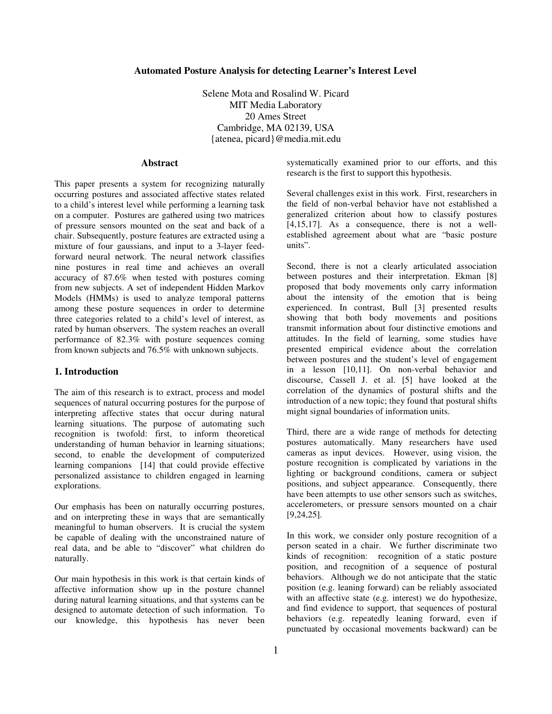### **Automated Posture Analysis for detecting Learner's Interest Level**

Selene Mota and Rosalind W. Picard MIT Media Laboratory 20 Ames Street Cambridge, MA 02139, USA {atenea, picard}@media.mit.edu

# **Abstract**

This paper presents a system for recognizing naturally occurring postures and associated affective states related to a child's interest level while performing a learning task on a computer. Postures are gathered using two matrices of pressure sensors mounted on the seat and back of a chair. Subsequently, posture features are extracted using a mixture of four gaussians, and input to a 3-layer feedforward neural network. The neural network classifies nine postures in real time and achieves an overall accuracy of 87.6% when tested with postures coming from new subjects. A set of independent Hidden Markov Models (HMMs) is used to analyze temporal patterns among these posture sequences in order to determine three categories related to a child's level of interest, as rated by human observers. The system reaches an overall performance of 82.3% with posture sequences coming from known subjects and 76.5% with unknown subjects.

# **1. Introduction**

The aim of this research is to extract, process and model sequences of natural occurring postures for the purpose of interpreting affective states that occur during natural learning situations. The purpose of automating such recognition is twofold: first, to inform theoretical understanding of human behavior in learning situations; second, to enable the development of computerized learning companions [14] that could provide effective personalized assistance to children engaged in learning explorations.

Our emphasis has been on naturally occurring postures, and on interpreting these in ways that are semantically meaningful to human observers. It is crucial the system be capable of dealing with the unconstrained nature of real data, and be able to "discover" what children do naturally.

Our main hypothesis in this work is that certain kinds of affective information show up in the posture channel during natural learning situations, and that systems can be designed to automate detection of such information. To our knowledge, this hypothesis has never been

systematically examined prior to our efforts, and this research is the first to support this hypothesis.

Several challenges exist in this work. First, researchers in the field of non-verbal behavior have not established a generalized criterion about how to classify postures [4,15,17]. As a consequence, there is not a wellestablished agreement about what are "basic posture units".

Second, there is not a clearly articulated association between postures and their interpretation. Ekman [8] proposed that body movements only carry information about the intensity of the emotion that is being experienced. In contrast, Bull [3] presented results showing that both body movements and positions transmit information about four distinctive emotions and attitudes. In the field of learning, some studies have presented empirical evidence about the correlation between postures and the student's level of engagement in a lesson [10,11]. On non-verbal behavior and discourse, Cassell J. et al. [5] have looked at the correlation of the dynamics of postural shifts and the introduction of a new topic; they found that postural shifts might signal boundaries of information units.

Third, there are a wide range of methods for detecting postures automatically. Many researchers have used cameras as input devices. However, using vision, the posture recognition is complicated by variations in the lighting or background conditions, camera or subject positions, and subject appearance. Consequently, there have been attempts to use other sensors such as switches, accelerometers, or pressure sensors mounted on a chair [9,24,25].

In this work, we consider only posture recognition of a person seated in a chair. We further discriminate two kinds of recognition: recognition of a static posture position, and recognition of a sequence of postural behaviors. Although we do not anticipate that the static position (e.g. leaning forward) can be reliably associated with an affective state (e.g. interest) we do hypothesize, and find evidence to support, that sequences of postural behaviors (e.g. repeatedly leaning forward, even if punctuated by occasional movements backward) can be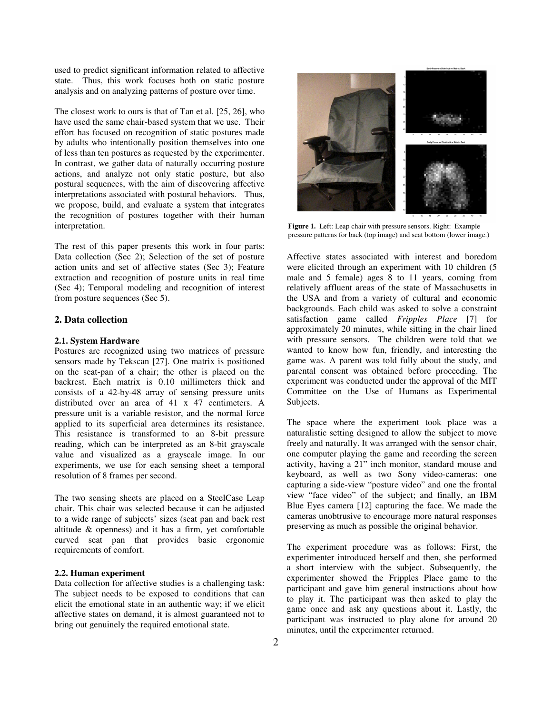used to predict significant information related to affective state. Thus, this work focuses both on static posture analysis and on analyzing patterns of posture over time.

The closest work to ours is that of Tan et al. [25, 26], who have used the same chair-based system that we use. Their effort has focused on recognition of static postures made by adults who intentionally position themselves into one of less than ten postures as requested by the experimenter. In contrast, we gather data of naturally occurring posture actions, and analyze not only static posture, but also postural sequences, with the aim of discovering affective interpretations associated with postural behaviors. Thus, we propose, build, and evaluate a system that integrates the recognition of postures together with their human interpretation.

The rest of this paper presents this work in four parts: Data collection (Sec 2); Selection of the set of posture action units and set of affective states (Sec 3); Feature extraction and recognition of posture units in real time (Sec 4); Temporal modeling and recognition of interest from posture sequences (Sec 5).

# **2. Data collection**

### **2.1. System Hardware**

Postures are recognized using two matrices of pressure sensors made by Tekscan [27]. One matrix is positioned on the seat-pan of a chair; the other is placed on the backrest. Each matrix is 0.10 millimeters thick and consists of a 42-by-48 array of sensing pressure units distributed over an area of 41 x 47 centimeters. A pressure unit is a variable resistor, and the normal force applied to its superficial area determines its resistance. This resistance is transformed to an 8-bit pressure reading, which can be interpreted as an 8-bit grayscale value and visualized as a grayscale image. In our experiments, we use for each sensing sheet a temporal resolution of 8 frames per second.

The two sensing sheets are placed on a SteelCase Leap chair. This chair was selected because it can be adjusted to a wide range of subjects' sizes (seat pan and back rest altitude & openness) and it has a firm, yet comfortable curved seat pan that provides basic ergonomic requirements of comfort.

### **2.2. Human experiment**

Data collection for affective studies is a challenging task: The subject needs to be exposed to conditions that can elicit the emotional state in an authentic way; if we elicit affective states on demand, it is almost guaranteed not to bring out genuinely the required emotional state.



**Figure 1.** Left: Leap chair with pressure sensors. Right: Example pressure patterns for back (top image) and seat bottom (lower image.)

Affective states associated with interest and boredom were elicited through an experiment with 10 children (5 male and 5 female) ages 8 to 11 years, coming from relatively affluent areas of the state of Massachusetts in the USA and from a variety of cultural and economic backgrounds. Each child was asked to solve a constraint satisfaction game called *Fripples Place* [7] for approximately 20 minutes, while sitting in the chair lined with pressure sensors. The children were told that we wanted to know how fun, friendly, and interesting the game was. A parent was told fully about the study, and parental consent was obtained before proceeding. The experiment was conducted under the approval of the MIT Committee on the Use of Humans as Experimental Subjects.

The space where the experiment took place was a naturalistic setting designed to allow the subject to move freely and naturally. It was arranged with the sensor chair, one computer playing the game and recording the screen activity, having a 21" inch monitor, standard mouse and keyboard, as well as two Sony video-cameras: one capturing a side-view "posture video" and one the frontal view "face video" of the subject; and finally, an IBM Blue Eyes camera [12] capturing the face. We made the cameras unobtrusive to encourage more natural responses preserving as much as possible the original behavior.

The experiment procedure was as follows: First, the experimenter introduced herself and then, she performed a short interview with the subject. Subsequently, the experimenter showed the Fripples Place game to the participant and gave him general instructions about how to play it. The participant was then asked to play the game once and ask any questions about it. Lastly, the participant was instructed to play alone for around 20 minutes, until the experimenter returned.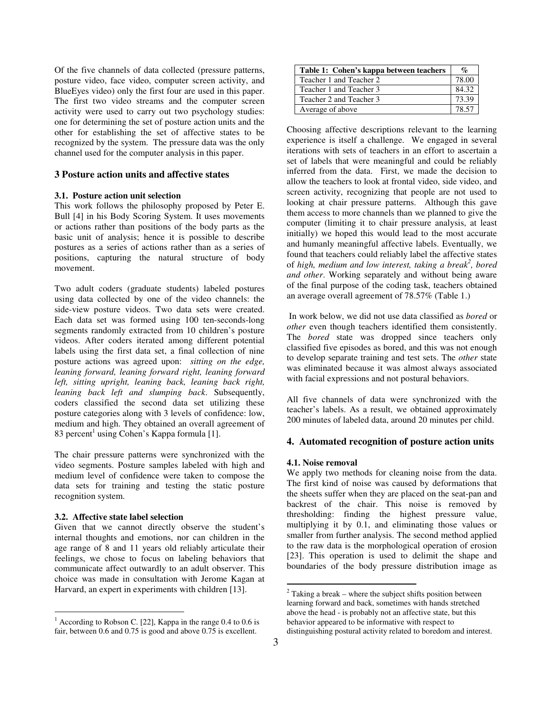Of the five channels of data collected (pressure patterns, posture video, face video, computer screen activity, and BlueEyes video) only the first four are used in this paper. The first two video streams and the computer screen activity were used to carry out two psychology studies: one for determining the set of posture action units and the other for establishing the set of affective states to be recognized by the system. The pressure data was the only channel used for the computer analysis in this paper.

# **3 Posture action units and affective states**

### **3.1. Posture action unit selection**

This work follows the philosophy proposed by Peter E. Bull [4] in his Body Scoring System. It uses movements or actions rather than positions of the body parts as the basic unit of analysis; hence it is possible to describe postures as a series of actions rather than as a series of positions, capturing the natural structure of body movement.

Two adult coders (graduate students) labeled postures using data collected by one of the video channels: the side-view posture videos. Two data sets were created. Each data set was formed using 100 ten-seconds-long segments randomly extracted from 10 children's posture videos. After coders iterated among different potential labels using the first data set, a final collection of nine posture actions was agreed upon: *sitting on the edge, leaning forward, leaning forward right, leaning forward left, sitting upright, leaning back, leaning back right, leaning back left and slumping back*. Subsequently, coders classified the second data set utilizing these posture categories along with 3 levels of confidence: low, medium and high. They obtained an overall agreement of 83 percent 1 using Cohen's Kappa formula [1].

The chair pressure patterns were synchronized with the video segments. Posture samples labeled with high and medium level of confidence were taken to compose the data sets for training and testing the static posture recognition system.

### **3.2. Affective state label selection**

Given that we cannot directly observe the student's internal thoughts and emotions, nor can children in the age range of 8 and 11 years old reliably articulate their feelings, we chose to focus on labeling behaviors that communicate affect outwardly to an adult observer. This choice was made in consultation with Jerome Kagan at Harvard, an expert in experiments with children [13].

| Table 1: Cohen's kappa between teachers | $\%$  |
|-----------------------------------------|-------|
| Teacher 1 and Teacher 2                 | 78.00 |
| Teacher 1 and Teacher 3                 | 84.32 |
| Teacher 2 and Teacher 3                 | 73.39 |
| Average of above                        | 78 57 |

Choosing affective descriptions relevant to the learning experience is itself a challenge. We engaged in several iterations with sets of teachers in an effort to ascertain a set of labels that were meaningful and could be reliably inferred from the data. First, we made the decision to allow the teachers to look at frontal video, side video, and screen activity, recognizing that people are not used to looking at chair pressure patterns. Although this gave them access to more channels than we planned to give the computer (limiting it to chair pressure analysis, at least initially) we hoped this would lead to the most accurate and humanly meaningful affective labels. Eventually, we found that teachers could reliably label the affective states of *high, medium and low interest, taking a break 2 , bored and other*. Working separately and without being aware of the final purpose of the coding task, teachers obtained an average overall agreement of 78.57% (Table 1.)

In work below, we did not use data classified as *bored* or *other* even though teachers identified them consistently. The *bored* state was dropped since teachers only classified five episodes as bored, and this was not enough to develop separate training and test sets. The *other* state was eliminated because it was almost always associated with facial expressions and not postural behaviors.

All five channels of data were synchronized with the teacher's labels. As a result, we obtained approximately 200 minutes of labeled data, around 20 minutes per child.

# **4. Automated recognition of posture action units**

#### **4.1. Noise removal**

We apply two methods for cleaning noise from the data. The first kind of noise was caused by deformations that the sheets suffer when they are placed on the seat-pan and backrest of the chair. This noise is removed by thresholding: finding the highest pressure value, multiplying it by 0.1, and eliminating those values or smaller from further analysis. The second method applied to the raw data is the morphological operation of erosion [23]. This operation is used to delimit the shape and boundaries of the body pressure distribution image as

 $1$  According to Robson C. [22], Kappa in the range 0.4 to 0.6 is fair, between 0.6 and 0.75 is good and above 0.75 is excellent.

 $2$  Taking a break – where the subject shifts position between learning forward and back, sometimes with hands stretched above the head - is probably not an affective state, but this behavior appeared to be informative with respect to distinguishing postural activity related to boredom and interest.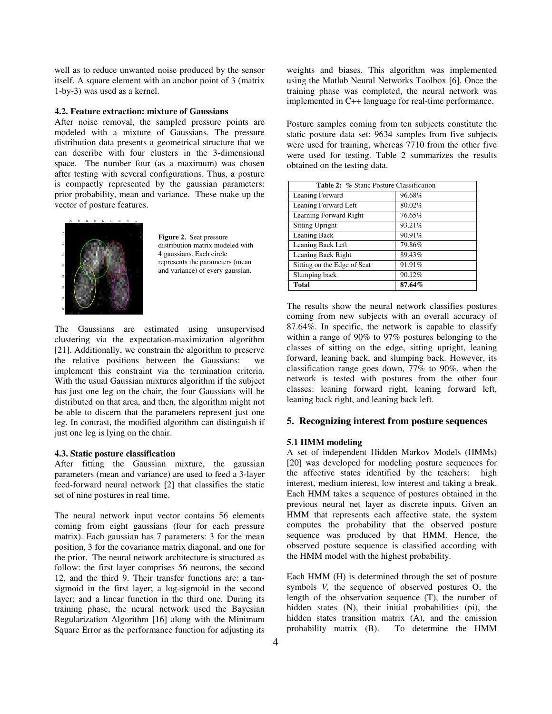well as to reduce unwanted noise produced by the sensor itself. A square element with an anchor point of 3 (matrix 1-by-3) was used as a kernel.

#### **4.2. Feature extraction: mixture of Gaussians**

After noise removal, the sampled pressure points are modeled with a mixture of Gaussians. The pressure distribution data presents a geometrical structure that we can describe with four clusters in the 3-dimensional space. The number four (as a maximum) was chosen after testing with several configurations. Thus, a posture is compactly represented by the gaussian parameters: prior probability, mean and variance. These make up the vector of posture features.



**Figure 2.** Seat pressure distribution matrix modeled with 4 gaussians. Each circle represents the parameters (mean and variance) of every gaussian.

The Gaussians are estimated using unsupervised clustering via the expectation-maximization algorithm [21]. Additionally, we constrain the algorithm to preserve the relative positions between the Gaussians: we implement this constraint via the termination criteria. With the usual Gaussian mixtures algorithm if the subject has just one leg on the chair, the four Gaussians will be distributed on that area, and then, the algorithm might not be able to discern that the parameters represent just one leg. In contrast, the modified algorithm can distinguish if just one leg is lying on the chair.

#### **4.3. Static posture classification**

After fitting the Gaussian mixture, the gaussian parameters (mean and variance) are used to feed a 3-layer feed-forward neural network [2] that classifies the static set of nine postures in real time.

The neural network input vector contains 56 elements coming from eight gaussians (four for each pressure matrix). Each gaussian has 7 parameters: 3 for the mean position, 3 for the covariance matrix diagonal, and one for the prior. The neural network architecture is structured as follow: the first layer comprises 56 neurons, the second 12, and the third 9. Their transfer functions are: a tansigmoid in the first layer; a log-sigmoid in the second layer; and a linear function in the third one. During its training phase, the neural network used the Bayesian Regularization Algorithm [16] along with the Minimum Square Error as the performance function for adjusting its

weights and biases. This algorithm was implemented using the Matlab Neural Networks Toolbox [6]. Once the training phase was completed, the neural network was implemented in C++ language for real-time performance.

Posture samples coming from ten subjects constitute the static posture data set: 9634 samples from five subjects were used for training, whereas 7710 from the other five were used for testing. Table 2 summarizes the results obtained on the testing data.

| <b>Table 2: % Static Posture Classification</b> |        |  |  |  |
|-------------------------------------------------|--------|--|--|--|
| Leaning Forward                                 | 96.68% |  |  |  |
| Leaning Forward Left                            | 80.02% |  |  |  |
| Learning Forward Right                          | 76.65% |  |  |  |
| <b>Sitting Upright</b>                          | 93.21% |  |  |  |
| Leaning Back                                    | 90.91% |  |  |  |
| Leaning Back Left                               | 79.86% |  |  |  |
| Leaning Back Right                              | 89.43% |  |  |  |
| Sitting on the Edge of Seat                     | 91.91% |  |  |  |
| Slumping back                                   | 90.12% |  |  |  |
| Total                                           | 87.64% |  |  |  |

The results show the neural network classifies postures coming from new subjects with an overall accuracy of 87.64%. In specific, the network is capable to classify within a range of 90% to 97% postures belonging to the classes of sitting on the edge, sitting upright, leaning forward, leaning back, and slumping back. However, its classification range goes down,  $77\%$  to 90%, when the network is tested with postures from the other four classes: leaning forward right, leaning forward left, leaning back right, and leaning back left.

# **5. Recognizing interest from posture sequences**

#### **5.1 HMM modeling**

A set of independent Hidden Markov Models (HMMs) [20] was developed for modeling posture sequences for the affective states identified by the teachers: high interest, medium interest, low interest and taking a break. Each HMM takes a sequence of postures obtained in the previous neural net layer as discrete inputs. Given an HMM that represents each affective state, the system computes the probability that the observed posture sequence was produced by that HMM. Hence, the observed posture sequence is classified according with the HMM model with the highest probability.

Each HMM (H) is determined through the set of posture symbols *V,* the sequence of observed postures O, the length of the observation sequence (T), the number of hidden states (N), their initial probabilities (pi), the hidden states transition matrix (A), and the emission probability matrix (B). To determine the HMM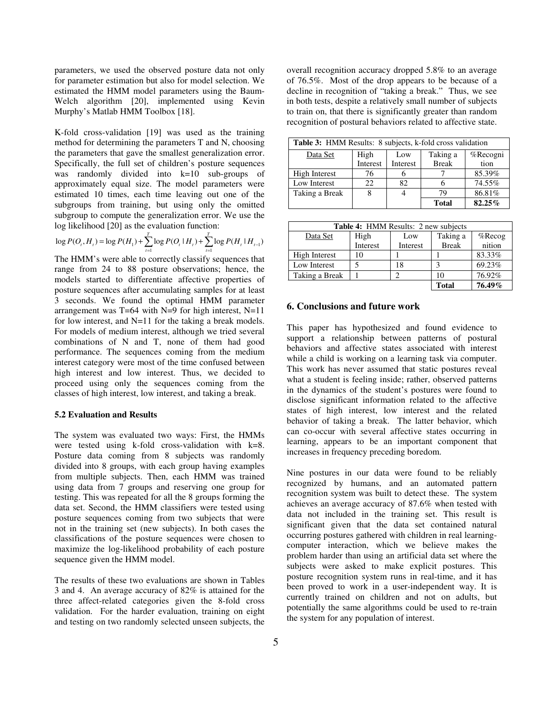parameters, we used the observed posture data not only for parameter estimation but also for model selection. We estimated the HMM model parameters using the Baum-Welch algorithm [20], implemented using Kevin Murphy's Matlab HMM Toolbox [18].

K-fold cross-validation [19] was used as the training method for determining the parameters T and N, choosing the parameters that gave the smallest generalization error. Specifically, the full set of children's posture sequences was randomly divided into k=10 sub-groups of approximately equal size. The model parameters were estimated 10 times, each time leaving out one of the subgroups from training, but using only the omitted subgroup to compute the generalization error. We use the log likelihood [20] as the evaluation function:

$$
\log P(O_i, H_i) = \log P(H_1) + \sum_{t=1}^{T} \log P(O_t | H_t) + \sum_{t=1}^{T} \log P(H_t | H_{t-1})
$$

The HMM's were able to correctly classify sequences that range from 24 to 88 posture observations; hence, the models started to differentiate affective properties of posture sequences after accumulating samples for at least 3 seconds. We found the optimal HMM parameter arrangement was  $T=64$  with N=9 for high interest, N=11 for low interest, and N=11 for the taking a break models. For models of medium interest, although we tried several combinations of N and T, none of them had good performance. The sequences coming from the medium interest category were most of the time confused between high interest and low interest. Thus, we decided to proceed using only the sequences coming from the classes of high interest, low interest, and taking a break.

#### **5.2 Evaluation and Results**

The system was evaluated two ways: First, the HMMs were tested using k-fold cross-validation with k=8. Posture data coming from 8 subjects was randomly divided into 8 groups, with each group having examples from multiple subjects. Then, each HMM was trained using data from 7 groups and reserving one group for testing. This was repeated for all the 8 groups forming the data set. Second, the HMM classifiers were tested using posture sequences coming from two subjects that were not in the training set (new subjects). In both cases the classifications of the posture sequences were chosen to maximize the log-likelihood probability of each posture sequence given the HMM model.

The results of these two evaluations are shown in Tables 3 and 4. An average accuracy of 82% is attained for the three affect-related categories given the 8-fold cross validation. For the harder evaluation, training on eight and testing on two randomly selected unseen subjects, the

overall recognition accuracy dropped 5.8% to an average of 76.5%. Most of the drop appears to be because of a decline in recognition of "taking a break." Thus, we see in both tests, despite a relatively small number of subjects to train on, that there is significantly greater than random recognition of postural behaviors related to affective state.

| Table 3: HMM Results: 8 subjects, k-fold cross validation |          |          |              |          |  |  |
|-----------------------------------------------------------|----------|----------|--------------|----------|--|--|
| Data Set                                                  | High     | Low      | Taking a     | %Recogni |  |  |
|                                                           | Interest | Interest | <b>Break</b> | tion     |  |  |
| High Interest                                             | 76       |          |              | 85.39%   |  |  |
| Low Interest                                              | 22       | 82       |              | 74.55%   |  |  |
| Taking a Break                                            |          |          | 79           | 86.81%   |  |  |
|                                                           |          |          | <b>Total</b> | 82.25%   |  |  |

| <b>Table 4: HMM Results: 2 new subjects</b> |          |          |              |           |  |
|---------------------------------------------|----------|----------|--------------|-----------|--|
| Data Set                                    | High     | Low      | Taking a     | $%$ Recog |  |
|                                             | Interest | Interest | <b>Break</b> | nition    |  |
| High Interest                               | 10       |          |              | 83.33%    |  |
| Low Interest                                |          | 18       |              | 69.23%    |  |
| Taking a Break                              |          |          | 10           | 76.92%    |  |
|                                             |          |          | <b>Total</b> | 76.49%    |  |

# **6. Conclusions and future work**

This paper has hypothesized and found evidence to support a relationship between patterns of postural behaviors and affective states associated with interest while a child is working on a learning task via computer. This work has never assumed that static postures reveal what a student is feeling inside; rather, observed patterns in the dynamics of the student's postures were found to disclose significant information related to the affective states of high interest, low interest and the related behavior of taking a break. The latter behavior, which can co-occur with several affective states occurring in learning, appears to be an important component that increases in frequency preceding boredom.

Nine postures in our data were found to be reliably recognized by humans, and an automated pattern recognition system was built to detect these. The system achieves an average accuracy of 87.6% when tested with data not included in the training set. This result is significant given that the data set contained natural occurring postures gathered with children in real learningcomputer interaction, which we believe makes the problem harder than using an artificial data set where the subjects were asked to make explicit postures. This posture recognition system runs in real-time, and it has been proved to work in a user-independent way. It is currently trained on children and not on adults, but potentially the same algorithms could be used to re-train the system for any population of interest.